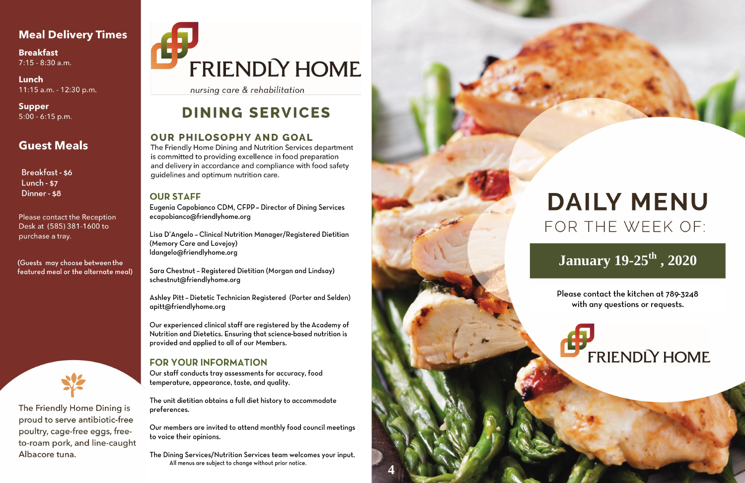#### **Meal Delivery Times**

**Breakfast**  $7:15 - 8:30$  a.m.

Lunch 11:15 a.m. - 12:30 p.m.

**Supper**  $5:00 - 6:15$  p.m.

#### **Guest Meals**

Breakfast - \$6 Lunch - \$7 Dinner - \$8

Please contact the Reception Desk at (585) 381-1600 to purchase a tray.

(Guests may choose between the featured meal or the alternate meal)



The Friendly Home Dining is proud to serve antibiotic-free poultry, cage-free eggs, freeto-roam pork, and line-caught Albacore tuna.

# FRIENDLY HOME

nursing care & rehabilitation

### **DINING SERVICES**

#### **OUR PHILOSOPHY AND GOAL**

The Friendly Home Dining and Nutrition Services department is committed to providing excellence in food preparation and delivery in accordance and compliance with food safety guidelines and optimum nutrition care.

#### **OUR STAFF**

Eugenia Capobianco CDM, CFPP - Director of Dining Services ecapobianco@friendlyhome.org

Lisa D'Angelo - Clinical Nutrition Manager/Registered Dietitian (Memory Care and Lovejoy) Idangelo@friendlyhome.org

Sara Chestnut - Registered Dietitian (Morgan and Lindsay) schestnut@friendlyhome.org

Ashley Pitt - Dietetic Technician Registered (Porter and Selden) apitt@friendlyhome.org

Our experienced clinical staff are registered by the Academy of Nutrition and Dietetics. Ensuring that science-based nutrition is provided and applied to all of our Members.

#### **FOR YOUR INFORMATION**

Our staff conducts tray assessments for accuracy, food temperature, appearance, taste, and quality.

The unit dietitian obtains a full diet history to accommodate preferences.

Our members are invited to attend monthly food council meetings to voice their opinions.

The Dining Services/Nutrition Services team welcomes your input. All menus are subject to change without prior notice.



# **DAILY MENU** FOR THE WEEK OF:

## **January 19-25<sup>th</sup>**, 2020

Please contact the kitchen at 789-3248 with any questions or requests.